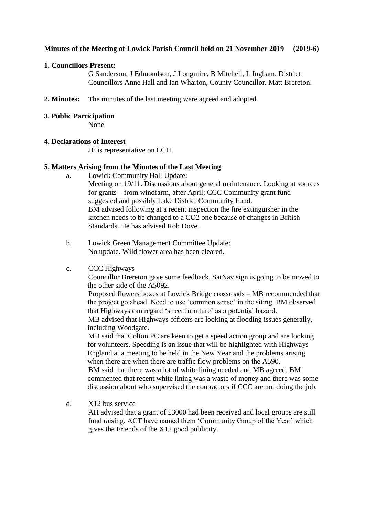# **Minutes of the Meeting of Lowick Parish Council held on 21 November 2019 (2019-6)**

# **1. Councillors Present:**

G Sanderson, J Edmondson, J Longmire, B Mitchell, L Ingham. District Councillors Anne Hall and Ian Wharton, County Councillor. Matt Brereton.

**2. Minutes:** The minutes of the last meeting were agreed and adopted.

## **3. Public Participation**

None

# **4. Declarations of Interest**

JE is representative on LCH.

# **5. Matters Arising from the Minutes of the Last Meeting**

a. Lowick Community Hall Update:

Meeting on 19/11. Discussions about general maintenance. Looking at sources for grants – from windfarm, after April; CCC Community grant fund suggested and possibly Lake District Community Fund. BM advised following at a recent inspection the fire extinguisher in the kitchen needs to be changed to a CO2 one because of changes in British Standards. He has advised Rob Dove.

b. Lowick Green Management Committee Update: No update. Wild flower area has been cleared.

# c. CCC Highways

Councillor Brereton gave some feedback. SatNav sign is going to be moved to the other side of the A5092.

Proposed flowers boxes at Lowick Bridge crossroads – MB recommended that the project go ahead. Need to use 'common sense' in the siting. BM observed that Highways can regard 'street furniture' as a potential hazard.

MB advised that Highways officers are looking at flooding issues generally, including Woodgate.

MB said that Colton PC are keen to get a speed action group and are looking for volunteers. Speeding is an issue that will be highlighted with Highways England at a meeting to be held in the New Year and the problems arising when there are when there are traffic flow problems on the A590.

BM said that there was a lot of white lining needed and MB agreed. BM commented that recent white lining was a waste of money and there was some discussion about who supervised the contractors if CCC are not doing the job.

d. X12 bus service

AH advised that a grant of £3000 had been received and local groups are still fund raising. ACT have named them 'Community Group of the Year' which gives the Friends of the X12 good publicity.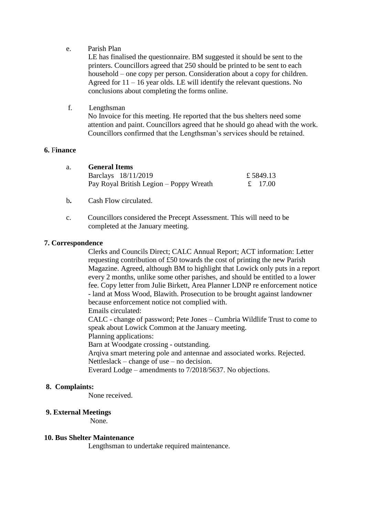#### e. Parish Plan

LE has finalised the questionnaire. BM suggested it should be sent to the printers. Councillors agreed that 250 should be printed to be sent to each household – one copy per person. Consideration about a copy for children. Agreed for  $11 - 16$  year olds. LE will identify the relevant questions. No conclusions about completing the forms online.

## f. Lengthsman

No Invoice for this meeting. He reported that the bus shelters need some attention and paint. Councillors agreed that he should go ahead with the work. Councillors confirmed that the Lengthsman's services should be retained.

#### **6.** F**inance**

| a. | <b>General Items</b>                    |          |  |
|----|-----------------------------------------|----------|--|
|    | Barclays 18/11/2019                     | £5849.13 |  |
|    | Pay Royal British Legion – Poppy Wreath | £ 17.00  |  |

- b**.** Cash Flow circulated.
- c. Councillors considered the Precept Assessment. This will need to be completed at the January meeting.

#### **7. Correspondence**

Clerks and Councils Direct; CALC Annual Report; ACT information: Letter requesting contribution of £50 towards the cost of printing the new Parish Magazine. Agreed, although BM to highlight that Lowick only puts in a report every 2 months, unlike some other parishes, and should be entitled to a lower fee. Copy letter from Julie Birkett, Area Planner LDNP re enforcement notice - land at Moss Wood, Blawith. Prosecution to be brought against landowner because enforcement notice not complied with.

Emails circulated:

CALC - change of password; Pete Jones – Cumbria Wildlife Trust to come to speak about Lowick Common at the January meeting.

Planning applications:

Barn at Woodgate crossing - outstanding.

Arqiva smart metering pole and antennae and associated works. Rejected. Nettleslack – change of use – no decision.

Everard Lodge – amendments to 7/2018/5637. No objections.

#### **8. Complaints:**

None received.

#### **9. External Meetings**

None.

#### **10. Bus Shelter Maintenance**

Lengthsman to undertake required maintenance.